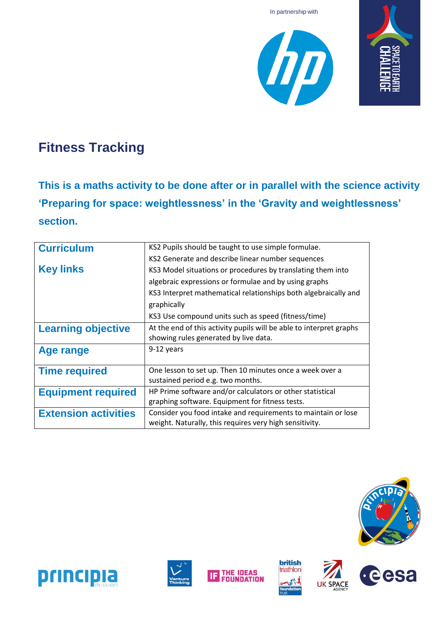





# **Fitness Tracking**

**This is a maths activity to be done after or in parallel with the science activity 'Preparing for space: weightlessness' in the 'Gravity and weightlessness' section.**

| <b>Curriculum</b>           | KS2 Pupils should be taught to use simple formulae.                 |  |  |  |  |
|-----------------------------|---------------------------------------------------------------------|--|--|--|--|
|                             | KS2 Generate and describe linear number sequences                   |  |  |  |  |
| <b>Key links</b>            | KS3 Model situations or procedures by translating them into         |  |  |  |  |
|                             | algebraic expressions or formulae and by using graphs               |  |  |  |  |
|                             | KS3 Interpret mathematical relationships both algebraically and     |  |  |  |  |
|                             | graphically                                                         |  |  |  |  |
|                             | KS3 Use compound units such as speed (fitness/time)                 |  |  |  |  |
| <b>Learning objective</b>   | At the end of this activity pupils will be able to interpret graphs |  |  |  |  |
|                             | showing rules generated by live data.                               |  |  |  |  |
| Age range                   | 9-12 years                                                          |  |  |  |  |
|                             |                                                                     |  |  |  |  |
| <b>Time required</b>        | One lesson to set up. Then 10 minutes once a week over a            |  |  |  |  |
|                             | sustained period e.g. two months.                                   |  |  |  |  |
| <b>Equipment required</b>   | HP Prime software and/or calculators or other statistical           |  |  |  |  |
|                             | graphing software. Equipment for fitness tests.                     |  |  |  |  |
| <b>Extension activities</b> | Consider you food intake and requirements to maintain or lose       |  |  |  |  |
|                             | weight. Naturally, this requires very high sensitivity.             |  |  |  |  |













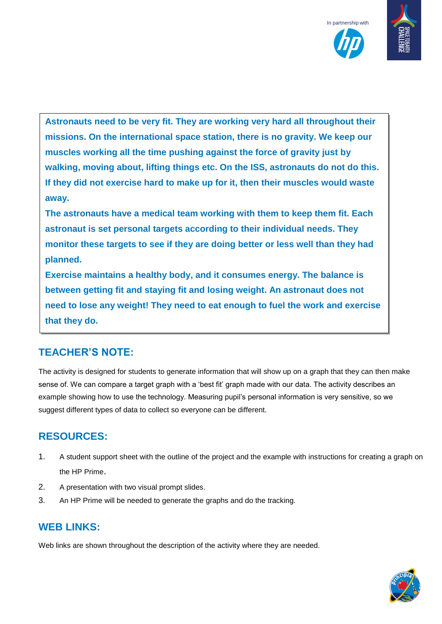

**Astronauts need to be very fit. They are working very hard all throughout their missions. On the international space station, there is no gravity. We keep our muscles working all the time pushing against the force of gravity just by walking, moving about, lifting things etc. On the ISS, astronauts do not do this. If they did not exercise hard to make up for it, then their muscles would waste away.**

**The astronauts have a medical team working with them to keep them fit. Each astronaut is set personal targets according to their individual needs. They monitor these targets to see if they are doing better or less well than they had planned.**

**Exercise maintains a healthy body, and it consumes energy. The balance is between getting fit and staying fit and losing weight. An astronaut does not need to lose any weight! They need to eat enough to fuel the work and exercise that they do.**

#### **TEACHER'S NOTE:**

The activity is designed for students to generate information that will show up on a graph that they can then make sense of. We can compare a target graph with a 'best fit' graph made with our data. The activity describes an example showing how to use the technology. Measuring pupil's personal information is very sensitive, so we suggest different types of data to collect so everyone can be different.

#### **RESOURCES:**

- 1. A student support sheet with the outline of the project and the example with instructions for creating a graph on the HP Prime.
- 2. A presentation with two visual prompt slides.
- 3. An HP Prime will be needed to generate the graphs and do the tracking.

#### **WEB LINKS:**

Web links are shown throughout the description of the activity where they are needed.

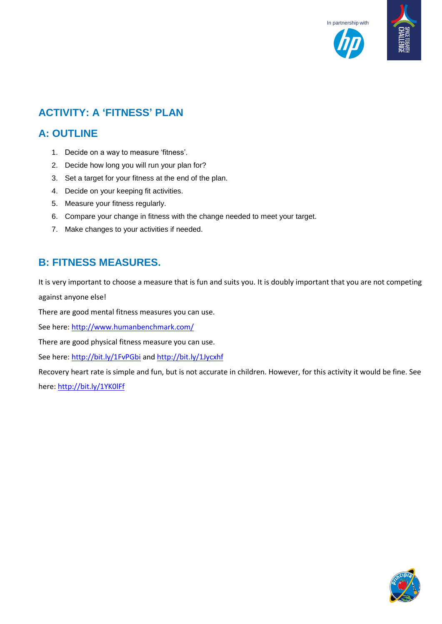



### **ACTIVITY: A 'FITNESS' PLAN**

#### **A: OUTLINE**

- 1. Decide on a way to measure 'fitness'.
- 2. Decide how long you will run your plan for?
- 3. Set a target for your fitness at the end of the plan.
- 4. Decide on your keeping fit activities.
- 5. Measure your fitness regularly.
- 6. Compare your change in fitness with the change needed to meet your target.
- 7. Make changes to your activities if needed.

#### **B: FITNESS MEASURES.**

It is very important to choose a measure that is fun and suits you. It is doubly important that you are not competing against anyone else!

There are good mental fitness measures you can use.

See here:<http://www.humanbenchmark.com/>

There are good physical fitness measure you can use.

See here:<http://bit.ly/1FvPGbi> an[d http://bit.ly/1Jycxhf](http://bit.ly/1Jycxhf)

Recovery heart rate is simple and fun, but is not accurate in children. However, for this activity it would be fine. See here:<http://bit.ly/1YK0lFf>

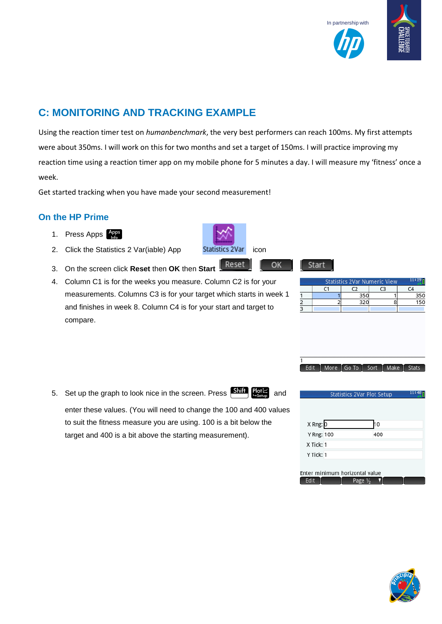



## **C: MONITORING AND TRACKING EXAMPLE**

Using the reaction timer test on *humanbenchmark*, the very best performers can reach 100ms. My first attempts were about 350ms. I will work on this for two months and set a target of 150ms. I will practice improving my reaction time using a reaction timer app on my mobile phone for 5 minutes a day. I will measure my 'fitness' once a week.

Get started tracking when you have made your second measurement!

#### **On the HP Prime**

- 1. Press Apps  $\bigcap_{n\in\mathbb{N}}$
- 2. Click the Statistics 2 Var(iable) App Statistics 2Var icon
- 3. On the screen click **Reset** then **OK** then **Start**
- 4. Column C1 is for the weeks you measure. Column C2 is for your measurements. Columns C3 is for your target which starts in week 1 and finishes in week 8. Column C4 is for your start and target to compare.

5. Set up the graph to look nice in the screen. Press  $\frac{\text{Shift}}{\text{Soft}}$  and enter these values. (You will need to change the 100 and 400 values

to suit the fitness measure you are using. 100 is a bit below the target and 400 is a bit above the starting measurement).







OK





|            | Statistics 2Var Plot Setup    |     | 11:4 |
|------------|-------------------------------|-----|------|
|            |                               |     |      |
|            |                               |     |      |
| X Rng: 0   |                               | 10  |      |
| Y Rng: 100 |                               | 400 |      |
| X Tick: 1  |                               |     |      |
| Y Tick: 1  |                               |     |      |
|            |                               |     |      |
|            | nter minimum horizontal value |     |      |
| Edit       | Page 1/ <sub>2</sub>          |     |      |

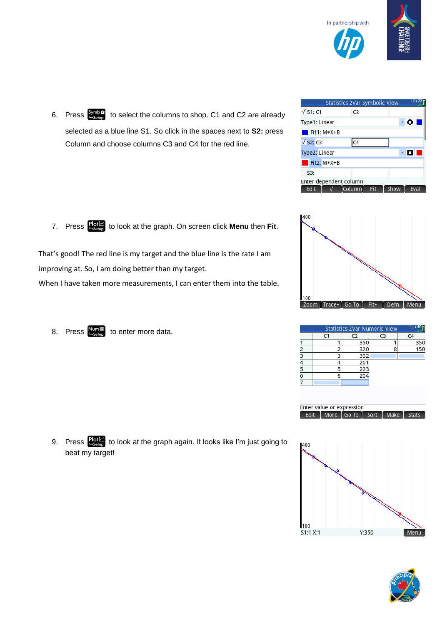

12:00 Statistics 2Var Symbolic  $\sqrt{51:}$  C1  $C<sub>2</sub>$ Type1: Linear  $\bullet$  0  $\blacksquare$  Fit1: M\*X+B  $\sqrt{$  S2: C3  $C<sub>4</sub>$ Type2: Linear ▾◘◘  $\blacksquare$  Fit2: M\*X+B S3: Enter dependent column │ Edit | √ |Column| Fit Show



|   | C1 | C <sub>2</sub> | C <sub>3</sub> | C <sub>4</sub> |
|---|----|----------------|----------------|----------------|
|   |    | 350            |                | 350            |
| 2 |    | 320            |                | 150            |
| 3 |    | 302            |                |                |
| 4 |    | 26'            |                |                |
| 5 |    | 223            |                |                |
| 6 |    | 20٠            |                |                |
|   |    |                |                |                |







6. Press  $\frac{Symb^x}{L_{\text{Setup}}}$  to select the columns to shop. C1 and C2 are already selected as a blue line S1. So click in the spaces next to **S2:** press Column and choose columns C3 and C4 for the red line.

7. Press  $\frac{\text{Plot} \mathbb{Z}}{\text{Stress}}$  to look at the graph. On screen click **Menu** then Fit.

That's good! The red line is my target and the blue line is the rate I am improving at. So, I am doing better than my target.

When I have taken more measurements, I can enter them into the table.

8. Press  $\frac{\text{Num}}{\text{E}\text{Sent}}$  to enter more data.

9. Press  $\frac{Plot}{S}$  to look at the graph again. It looks like I'm just going to beat my target!